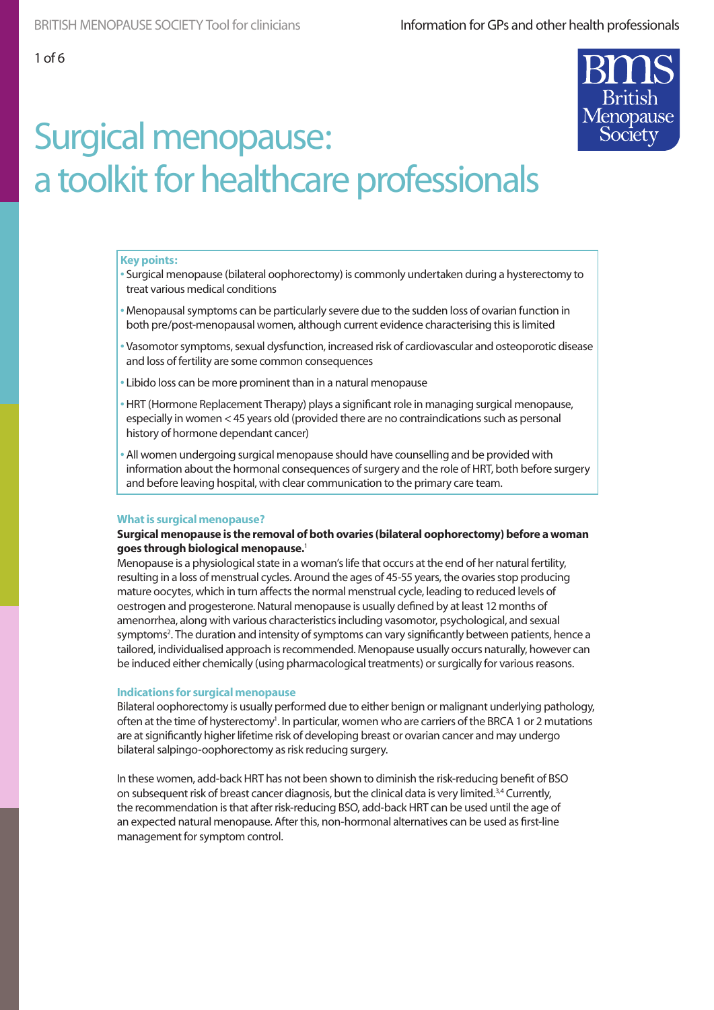

#### **Key points:**

- Surgical menopause (bilateral oophorectomy) is commonly undertaken during a hysterectomy to treat various medical conditions
- Menopausal symptoms can be particularly severe due to the sudden loss of ovarian function in both pre/post-menopausal women, although current evidence characterising this is limited
- Vasomotor symptoms, sexual dysfunction, increased risk of cardiovascular and osteoporotic disease and loss of fertility are some common consequences
- Libido loss can be more prominent than in a natural menopause
- HRT (Hormone Replacement Therapy) plays a significant role in managing surgical menopause, especially in women < 45 years old (provided there are no contraindications such as personal history of hormone dependant cancer)
- All women undergoing surgical menopause should have counselling and be provided with information about the hormonal consequences of surgery and the role of HRT, both before surgery and before leaving hospital, with clear communication to the primary care team.

#### **What is surgical menopause?**

#### **Surgical menopause is the removal of both ovaries (bilateral oophorectomy) before a woman goes through biological menopause.**<sup>1</sup>

Menopause is a physiological state in a woman's life that occurs at the end of her natural fertility, resulting in a loss of menstrual cycles. Around the ages of 45-55 years, the ovaries stop producing mature oocytes, which in turn affects the normal menstrual cycle, leading to reduced levels of oestrogen and progesterone. Natural menopause is usually defined by at least 12 months of amenorrhea, along with various characteristics including vasomotor, psychological, and sexual symptoms2 . The duration and intensity of symptoms can vary significantly between patients, hence a tailored, individualised approach is recommended. Menopause usually occurs naturally, however can be induced either chemically (using pharmacological treatments) or surgically for various reasons.

#### **Indications for surgical menopause**

Bilateral oophorectomy is usually performed due to either benign or malignant underlying pathology, often at the time of hysterectomy<sup>1</sup>. In particular, women who are carriers of the BRCA 1 or 2 mutations are at significantly higher lifetime risk of developing breast or ovarian cancer and may undergo bilateral salpingo-oophorectomy as risk reducing surgery.

In these women, add-back HRT has not been shown to diminish the risk-reducing benefit of BSO on subsequent risk of breast cancer diagnosis, but the clinical data is very limited.<sup>3,4</sup> Currently, the recommendation is that after risk-reducing BSO, add-back HRT can be used until the age of an expected natural menopause. After this, non-hormonal alternatives can be used as first-line management for symptom control.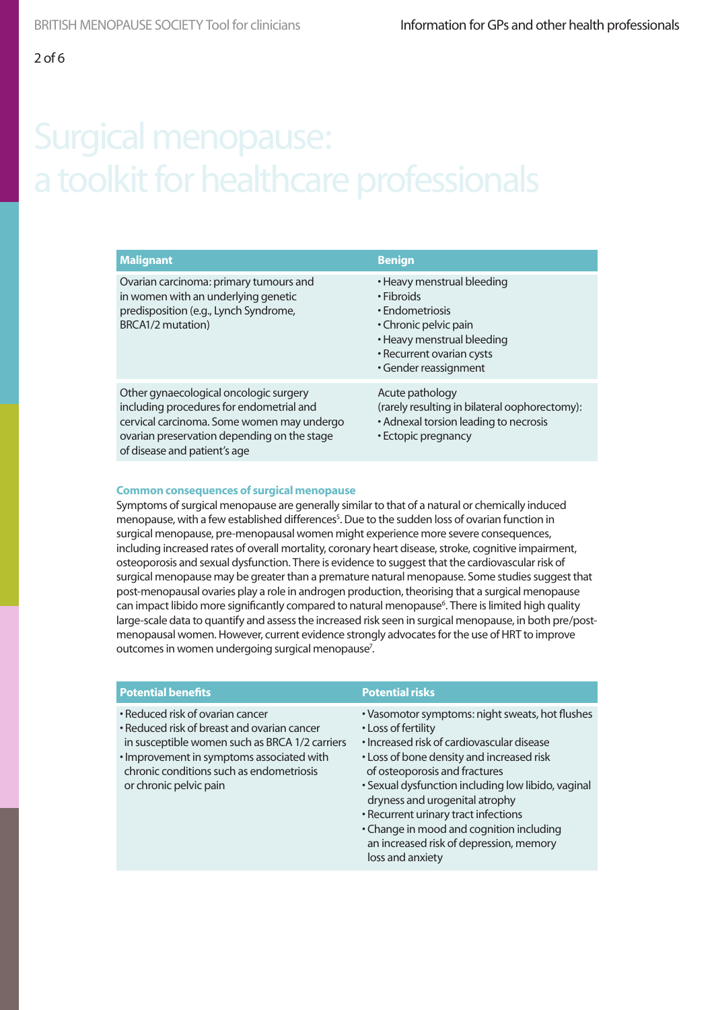| <b>Malignant</b>                                                                                                                                                                                                | <b>Benign</b>                                                                                                                                                            |
|-----------------------------------------------------------------------------------------------------------------------------------------------------------------------------------------------------------------|--------------------------------------------------------------------------------------------------------------------------------------------------------------------------|
| Ovarian carcinoma: primary tumours and<br>in women with an underlying genetic<br>predisposition (e.g., Lynch Syndrome,<br>BRCA1/2 mutation)                                                                     | • Heavy menstrual bleeding<br>• Fibroids<br>• Endometriosis<br>• Chronic pelvic pain<br>• Heavy menstrual bleeding<br>• Recurrent ovarian cysts<br>· Gender reassignment |
| Other gynaecological oncologic surgery<br>including procedures for endometrial and<br>cervical carcinoma. Some women may undergo<br>ovarian preservation depending on the stage<br>of disease and patient's age | Acute pathology<br>(rarely resulting in bilateral oophorectomy):<br>• Adnexal torsion leading to necrosis<br>• Ectopic pregnancy                                         |

#### **Common consequences of surgical menopause**

Symptoms of surgical menopause are generally similar to that of a natural or chemically induced menopause, with a few established differences<sup>5</sup>. Due to the sudden loss of ovarian function in surgical menopause, pre-menopausal women might experience more severe consequences, including increased rates of overall mortality, coronary heart disease, stroke, cognitive impairment, osteoporosis and sexual dysfunction. There is evidence to suggest that the cardiovascular risk of surgical menopause may be greater than a premature natural menopause. Some studies suggest that post-menopausal ovaries play a role in androgen production, theorising that a surgical menopause can impact libido more significantly compared to natural menopause<sup>6</sup>. There is limited high quality large-scale data to quantify and assess the increased risk seen in surgical menopause, in both pre/postmenopausal women. However, current evidence strongly advocates for the use of HRT to improve outcomes in women undergoing surgical menopause<sup>7</sup>.

| <b>Potential benefits</b>                                                                                                                                                                                                                            | <b>Potential risks</b>                                                                                                                                                                                                                                                                                                                                                                                                                        |
|------------------------------------------------------------------------------------------------------------------------------------------------------------------------------------------------------------------------------------------------------|-----------------------------------------------------------------------------------------------------------------------------------------------------------------------------------------------------------------------------------------------------------------------------------------------------------------------------------------------------------------------------------------------------------------------------------------------|
| • Reduced risk of ovarian cancer<br>• Reduced risk of breast and ovarian cancer<br>in susceptible women such as BRCA 1/2 carriers<br>· Improvement in symptoms associated with<br>chronic conditions such as endometriosis<br>or chronic pelvic pain | • Vasomotor symptoms: night sweats, hot flushes<br>• Loss of fertility<br>• Increased risk of cardiovascular disease<br>• Loss of bone density and increased risk<br>of osteoporosis and fractures<br>• Sexual dysfunction including low libido, vaginal<br>dryness and urogenital atrophy<br>• Recurrent urinary tract infections<br>• Change in mood and cognition including<br>an increased risk of depression, memory<br>loss and anxiety |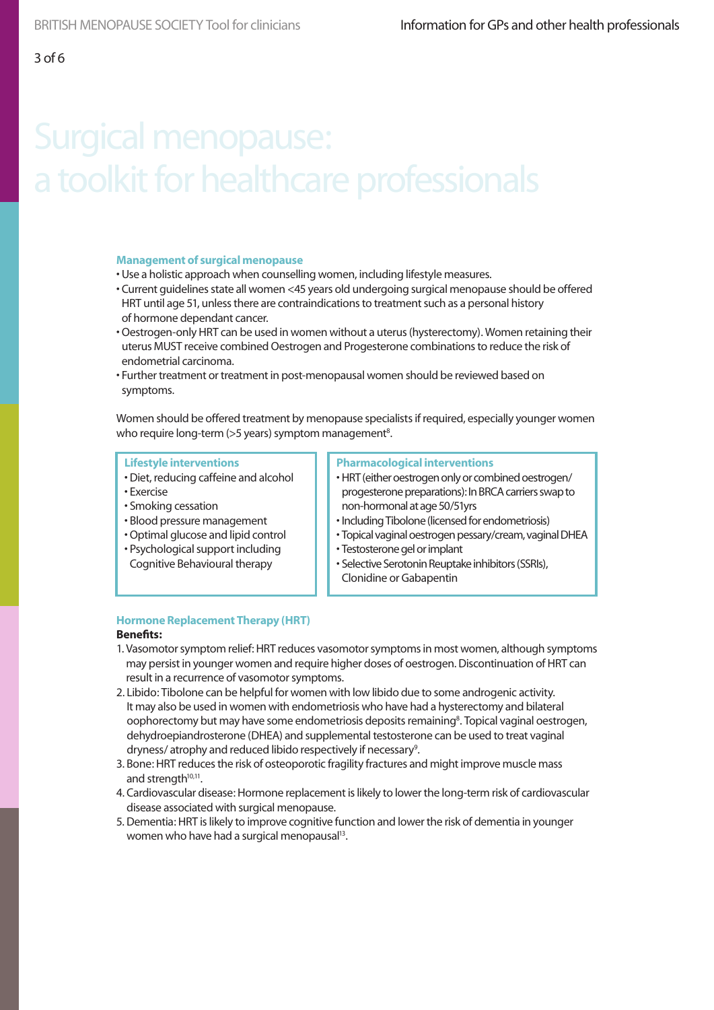### **Management of surgical menopause**

- Use a holistic approach when counselling women, including lifestyle measures.
- Current guidelines state all women <45 years old undergoing surgical menopause should be offered HRT until age 51, unless there are contraindications to treatment such as a personal history of hormone dependant cancer.
- Oestrogen-only HRT can be used in women without a uterus (hysterectomy). Women retaining their uterus MUST receive combined Oestrogen and Progesterone combinations to reduce the risk of endometrial carcinoma.
- Further treatment or treatment in post-menopausal women should be reviewed based on symptoms.

Women should be offered treatment by menopause specialists if required, especially younger women who require long-term (>5 years) symptom management<sup>8</sup>.

#### **Lifestyle interventions**

- Diet, reducing caffeine and alcohol
- Exercise
- Smoking cessation
- Blood pressure management
- Optimal glucose and lipid control
- Psychological support including Cognitive Behavioural therapy

#### **Pharmacological interventions**

- HRT (either oestrogen only or combined oestrogen/ progesterone preparations): In BRCA carriers swap to non-hormonal at age 50/51yrs
- Including Tibolone (licensed for endometriosis)
- Topical vaginal oestrogen pessary/cream, vaginal DHEA
- Testosterone gel or implant
- Selective Serotonin Reuptake inhibitors (SSRIs), Clonidine or Gabapentin

### **Hormone Replacement Therapy (HRT)**

### **Benefits:**

- 1. Vasomotor symptom relief: HRT reduces vasomotor symptoms in most women, although symptoms may persist in younger women and require higher doses of oestrogen. Discontinuation of HRT can result in a recurrence of vasomotor symptoms.
- 2. Libido: Tibolone can be helpful for women with low libido due to some androgenic activity. It may also be used in women with endometriosis who have had a hysterectomy and bilateral oophorectomy but may have some endometriosis deposits remaining<sup>8</sup>. Topical vaginal oestrogen, dehydroepiandrosterone (DHEA) and supplemental testosterone can be used to treat vaginal dryness/atrophy and reduced libido respectively if necessary<sup>9</sup>.
- 3. Bone: HRT reduces the risk of osteoporotic fragility fractures and might improve muscle mass and strength<sup>10,11</sup>.
- 4. Cardiovascular disease: Hormone replacement is likely to lower the long-term risk of cardiovascular disease associated with surgical menopause.
- 5. Dementia: HRT is likely to improve cognitive function and lower the risk of dementia in younger women who have had a surgical menopausal<sup>13</sup>.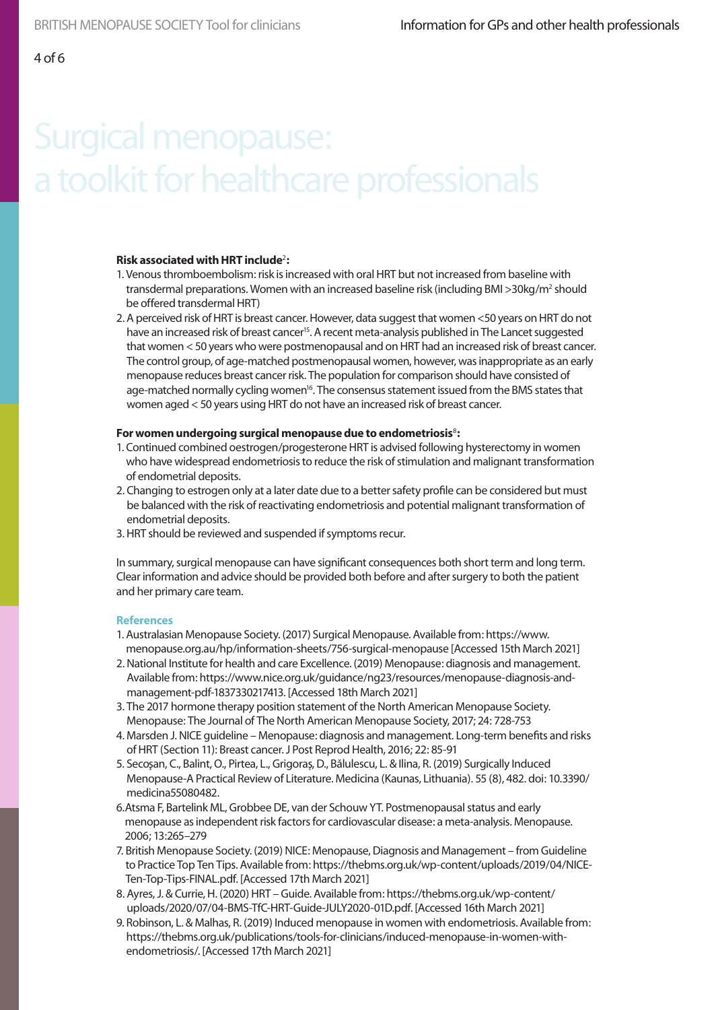### **Risk associated with HRT include**<sup>2</sup> **:**

- 1. Venous thromboembolism: risk is increased with oral HRT but not increased from baseline with transdermal preparations. Women with an increased baseline risk (including BMI >30kg/m<sup>2</sup> should be offered transdermal HRT)
- 2. A perceived risk of HRT is breast cancer. However, data suggest that women <50 years on HRT do not have an increased risk of breast cancer<sup>15</sup>. A recent meta-analysis published in The Lancet suggested that women < 50 years who were postmenopausal and on HRT had an increased risk of breast cancer. The control group, of age-matched postmenopausal women, however, was inappropriate as an early menopause reduces breast cancer risk. The population for comparison should have consisted of age-matched normally cycling women<sup>16</sup>. The consensus statement issued from the BMS states that women aged < 50 years using HRT do not have an increased risk of breast cancer.

#### **For women undergoing surgical menopause due to endometriosis**<sup>8</sup>**:**

- 1. Continued combined oestrogen/progesterone HRT is advised following hysterectomy in women who have widespread endometriosis to reduce the risk of stimulation and malignant transformation of endometrial deposits.
- 2. Changing to estrogen only at a later date due to a better safety profile can be considered but must be balanced with the risk of reactivating endometriosis and potential malignant transformation of endometrial deposits.
- 3. HRT should be reviewed and suspended if symptoms recur.

In summary, surgical menopause can have significant consequences both short term and long term. Clear information and advice should be provided both before and after surgery to both the patient and her primary care team.

### **References**

- 1. Australasian Menopause Society. (2017) Surgical Menopause. Available from: https://www. menopause.org.au/hp/information-sheets/756-surgical-menopause [Accessed 15th March 2021]
- 2. National Institute for health and care Excellence. (2019) Menopause: diagnosis and management. Available from: https://www.nice.org.uk/guidance/ng23/resources/menopause-diagnosis-andmanagement-pdf-1837330217413. [Accessed 18th March 2021]
- 3. The 2017 hormone therapy position statement of the North American Menopause Society. Menopause: The Journal of The North American Menopause Society, 2017; 24: 728-753
- 4. Marsden J. NICE guideline Menopause: diagnosis and management. Long-term benefits and risks of HRT (Section 11): Breast cancer. J Post Reprod Health, 2016; 22: 85-91
- 5. Secoșan, C., Balint, O., Pirtea, L., Grigoraș, D., Bălulescu, L. & Ilina, R. (2019) Surgically Induced Menopause-A Practical Review of Literature. Medicina (Kaunas, Lithuania). 55 (8), 482. doi: 10.3390/ medicina55080482.
- 6.Atsma F, Bartelink ML, Grobbee DE, van der Schouw YT. Postmenopausal status and early menopause as independent risk factors for cardiovascular disease: a meta-analysis. Menopause. 2006; 13:265–279
- 7. British Menopause Society. (2019) NICE: Menopause, Diagnosis and Management from Guideline to Practice Top Ten Tips. Available from: https://thebms.org.uk/wp-content/uploads/2019/04/NICE-Ten-Top-Tips-FINAL.pdf. [Accessed 17th March 2021]
- 8. Ayres, J. & Currie, H. (2020) HRT Guide. Available from: https://thebms.org.uk/wp-content/ uploads/2020/07/04-BMS-TfC-HRT-Guide-JULY2020-01D.pdf. [Accessed 16th March 2021]
- 9. Robinson, L. & Malhas, R. (2019) Induced menopause in women with endometriosis. Available from: https://thebms.org.uk/publications/tools-for-clinicians/induced-menopause-in-women-withendometriosis/. [Accessed 17th March 2021]